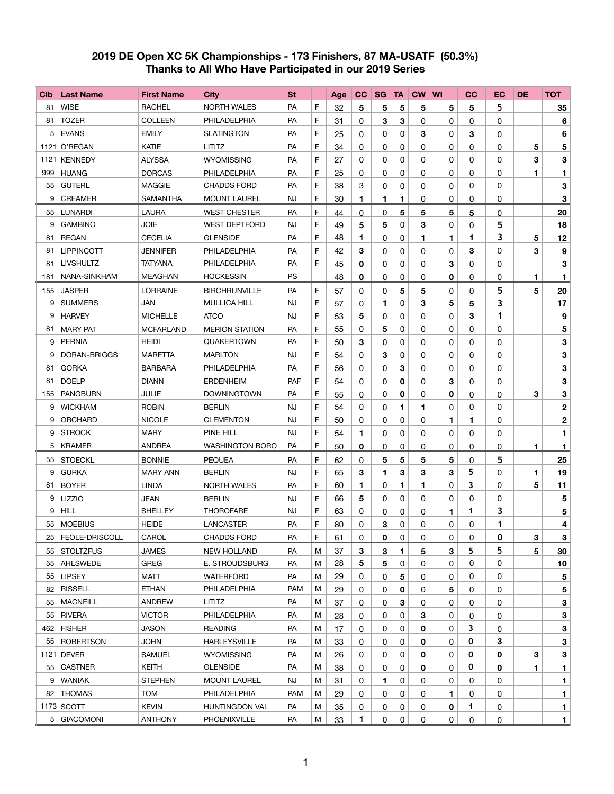## **2019 DE Open XC 5K Championships - 173 Finishers, 87 MA-USATF (50.3%) Thanks to All Who Have Participated in our 2019 Series**

| C <sub>1</sub> b | <b>Last Name</b>    | <b>First Name</b> | <b>City</b>            | <b>St</b>  |   | Age | cc           | <b>SG</b>    | <b>TA</b> | <b>CW WI</b> |              | cc             | EC             | <b>DE</b> | <b>TOT</b>     |
|------------------|---------------------|-------------------|------------------------|------------|---|-----|--------------|--------------|-----------|--------------|--------------|----------------|----------------|-----------|----------------|
| 81               | <b>WISE</b>         | <b>RACHEL</b>     | <b>NORTH WALES</b>     | PA         | F | 32  | 5            | 5            | 5         | 5            | 5            | 5              | 5              |           | 35             |
| 81               | <b>TOZER</b>        | <b>COLLEEN</b>    | PHILADELPHIA           | <b>PA</b>  | F | 31  | $\mathbf{0}$ | 3            | 3         | 0            | $\mathbf{0}$ | 0              | 0              |           | 6              |
| 5                | <b>EVANS</b>        | <b>EMILY</b>      | <b>SLATINGTON</b>      | <b>PA</b>  | F | 25  | $\mathbf{0}$ | 0            | 0         | 3            | 0            | 3              | 0              |           | 6              |
|                  | 1121 O'REGAN        | <b>KATIE</b>      | <b>LITITZ</b>          | PA         | F | 34  | 0            | 0            | 0         | 0            | 0            | 0              | 0              | 5         | 5              |
|                  | 1121 KENNEDY        | <b>ALYSSA</b>     | <b>WYOMISSING</b>      | <b>PA</b>  | F | 27  | $\mathbf{0}$ | 0            | 0         | 0            | 0            | 0              | 0              | 3         | $\mathbf{3}$   |
| 999              | <b>HUANG</b>        | <b>DORCAS</b>     | PHILADELPHIA           | <b>PA</b>  | F | 25  | 0            | 0            | 0         | 0            | 0            | 0              | 0              | 1         | 1              |
| 55               | <b>GUTERL</b>       | <b>MAGGIE</b>     | <b>CHADDS FORD</b>     | <b>PA</b>  | F | 38  | 3            | 0            | 0         | 0            | 0            | 0              | 0              |           | 3              |
| 9                | <b>CREAMER</b>      | <b>SAMANTHA</b>   | <b>MOUNT LAUREL</b>    | <b>NJ</b>  | F | 30  | 1            | 1            | 1         | 0            | 0            | 0              | 0              |           | 3              |
| 55               | <b>LUNARDI</b>      | <b>LAURA</b>      | <b>WEST CHESTER</b>    | PA         | F | 44  | $\mathbf{0}$ | 0            | 5         | 5            | 5            | 5              | 0              |           | 20             |
| 9                | <b>GAMBINO</b>      | <b>JOIE</b>       | <b>WEST DEPTFORD</b>   | <b>NJ</b>  | F | 49  | 5            | 5            | 0         | 3            | 0            | 0              | 5              |           | 18             |
| 81               | <b>REGAN</b>        | <b>CECELIA</b>    | <b>GLENSIDE</b>        | <b>PA</b>  | F | 48  | 1            | 0            | 0         | 1            | 1            | 1              | 3              | 5         | 12             |
| 81               | <b>LIPPINCOTT</b>   | <b>JENNIFER</b>   | PHILADELPHIA           | PA         | F | 42  | 3            | 0            | 0         | 0            | 0            | 3              | 0              | 3         | 9              |
| 81               | <b>LIVSHULTZ</b>    | <b>TATYANA</b>    | PHILADELPHIA           | PA         | F | 45  | $\mathbf 0$  | 0            | 0         | 0            | 3            | 0              | 0              |           | 3              |
| 181              | NANA-SINKHAM        | <b>MEAGHAN</b>    | <b>HOCKESSIN</b>       | <b>PS</b>  |   | 48  | 0            | $\mathbf{0}$ | 0         | 0            | 0            | 0              | 0              | 1.        | $\mathbf{1}$   |
| 155              | <b>JASPER</b>       | <b>LORRAINE</b>   | <b>BIRCHRUNVILLE</b>   | PA         | F | 57  | $\mathbf{0}$ | 0            | 5         | 5            | 0            | 0              | 5              | 5         | 20             |
| 9                | <b>SUMMERS</b>      | <b>JAN</b>        | <b>MULLICA HILL</b>    | <b>NJ</b>  | F | 57  | 0            | 1            | 0         | 3            | 5            | 5              | 3              |           | 17             |
| 9                | <b>HARVEY</b>       | <b>MICHELLE</b>   | <b>ATCO</b>            | <b>NJ</b>  | F | 53  | 5            | 0            | 0         | 0            | 0            | 3              | 1              |           | 9              |
| 81               | <b>MARY PAT</b>     | <b>MCFARLAND</b>  | <b>MERION STATION</b>  | <b>PA</b>  | F | 55  | 0            | 5            | 0         | 0            | 0            | 0              | 0              |           | 5              |
| 9                | <b>PERNIA</b>       | <b>HEIDI</b>      | QUAKERTOWN             | <b>PA</b>  | F | 50  | 3            | 0            | 0         | 0            | 0            | 0              | 0              |           | 3              |
| 9                | DORAN-BRIGGS        | <b>MARETTA</b>    | <b>MARLTON</b>         | <b>NJ</b>  | F | 54  | 0            | 3            | 0         | 0            | 0            | 0              | 0              |           | 3              |
| 81               | <b>GORKA</b>        | <b>BARBARA</b>    | PHILADELPHIA           | PA         | F | 56  | 0            | 0            | 3         | 0            | 0            | 0              | 0              |           | 3              |
| 81               | <b>DOELP</b>        | <b>DIANN</b>      | <b>ERDENHEIM</b>       | PAF        | F | 54  | $\mathbf{0}$ | 0            | 0         | 0            | 3            | 0              | 0              |           | 3              |
| 155              | <b>PANGBURN</b>     | <b>JULIE</b>      | <b>DOWNINGTOWN</b>     | PA         | F | 55  | 0            | 0            | 0         | 0            | $\mathbf 0$  | 0              | 0              | 3         | 3              |
| 9                | <b>WICKHAM</b>      | <b>ROBIN</b>      | <b>BERLIN</b>          | NJ         | F | 54  | $\mathbf{0}$ | 0            | 1         | 1            | 0            | 0              | 0              |           | $\mathbf 2$    |
| 9                | <b>ORCHARD</b>      | <b>NICOLE</b>     | <b>CLEMENTON</b>       | NJ         | F | 50  | $\mathbf{0}$ | 0            | 0         | 0            | 1            | 1              | 0              |           | $\mathbf 2$    |
| 9                | <b>STROCK</b>       | <b>MARY</b>       | PINE HILL              | <b>NJ</b>  | F | 54  | 1            | 0            | 0         | 0            | 0            | 0              | 0              |           | 1              |
|                  | 5 KRAMER            | <b>ANDREA</b>     | <b>WASHINGTON BORO</b> | PA         | F | 50  | 0            | 0            | 0         | 0            | 0            | 0              | 0              | 1         | $\mathbf 1$    |
| 55               | <b>STOECKL</b>      | <b>BONNIE</b>     | <b>PEQUEA</b>          | PA         | F | 62  | $\mathbf{0}$ | 5            | 5         | 5            | 5            | 0              | 5              |           | 25             |
| 9                | <b>GURKA</b>        | MARY ANN          | <b>BERLIN</b>          | <b>NJ</b>  | F | 65  | 3            | 1.           | 3         | 3            | 3            | 5              | 0              | 1.        | 19             |
| 81               | <b>BOYER</b>        | <b>LINDA</b>      | <b>NORTH WALES</b>     | PA         | F | 60  | 1            | 0            | 1         | 1            | 0            | 3              | 0              | 5         | 11             |
| 9                | <b>LIZZIO</b>       | JEAN              | <b>BERLIN</b>          | <b>NJ</b>  | F | 66  | 5            | 0            | 0         | 0            | $\mathbf 0$  | 0              | 0              |           | 5              |
| 9                | <b>HILL</b>         | <b>SHELLEY</b>    | <b>THOROFARE</b>       | <b>NJ</b>  | F | 63  | 0            | 0            | 0         | 0            | 1            | 1              | 3              |           | 5              |
| 55               | <b>MOEBIUS</b>      | <b>HEIDE</b>      | LANCASTER              | PA         | F | 80  | 0            | 3            | 0         | 0            | 0            | 0              | 1              |           | 4              |
|                  | 25   FEOLE-DRISCOLL | CAROL             | <b>CHADDS FORD</b>     | PA         | F | 61  | 0            | $\mathbf 0$  | 0         | 0            | 0            | 0              | 0              | 3         | 3              |
| 55               | <b>STOLTZFUS</b>    | <b>JAMES</b>      | <b>NEW HOLLAND</b>     | <b>PA</b>  | M | 37  | 3            | 3            | 1         | 5            | 3            | 5.             | 5              | 5         | 30             |
| 55               | AHLSWEDE            | <b>GREG</b>       | E. STROUDSBURG         | <b>PA</b>  | M | 28  | 5            | 5            | 0         | 0            | 0            | 0              | 0              |           | 10             |
| 55               | <b>LIPSEY</b>       | <b>MATT</b>       | <b>WATERFORD</b>       | <b>PA</b>  | м | 29  | 0            | 0            | 5         | 0            | 0            | 0              | 0              |           | 5              |
| 82               | <b>RISSELL</b>      | <b>ETHAN</b>      | PHILADELPHIA           | <b>PAM</b> | M | 29  | $\mathbf{0}$ | 0            | 0         | 0            | 5            | 0              | 0              |           | 5              |
| 55               | <b>MACNEILL</b>     | <b>ANDREW</b>     | <b>LITITZ</b>          | PA         | м | 37  | 0            | 0            | 3         | 0            | 0            | 0              | 0              |           | 3              |
| 55               | <b>RIVERA</b>       | <b>VICTOR</b>     | PHILADELPHIA           | <b>PA</b>  | M | 28  | 0            | 0            | 0         | 3            | 0            | 0              | 0              |           | 3              |
| 462              | <b>FISHER</b>       | <b>JASON</b>      | <b>READING</b>         | PA         | M | 17  | $\mathbf{0}$ | 0            | 0         | $\mathbf 0$  | 0            | 3              | 0              |           | 3              |
| 55               | <b>ROBERTSON</b>    | <b>JOHN</b>       | <b>HARLEYSVILLE</b>    | PA         | м | 33  | 0            | 0            | 0         | 0            | 0            | $\mathbf 0$    | 3              |           | 3              |
|                  | 1121 DEVER          | <b>SAMUEL</b>     | <b>WYOMISSING</b>      | <b>PA</b>  | M | 26  | 0            | 0            | 0         | 0            | 0            | 0              | 0              | 3         | 3              |
| 55               | <b>CASTNER</b>      | <b>KEITH</b>      | <b>GLENSIDE</b>        | PA         | M | 38  | 0            | 0            | 0         | 0            | 0            | 0              | 0              | 1         | $\blacksquare$ |
| 9                | <b>WANIAK</b>       | <b>STEPHEN</b>    | <b>MOUNT LAUREL</b>    | <b>NJ</b>  | м | 31  | 0            | 1.           | 0         | 0            | 0            | 0              | $\Omega$       |           | 1              |
| 82               | <b>THOMAS</b>       | <b>TOM</b>        | PHILADELPHIA           | <b>PAM</b> | M | 29  | 0            | 0            | 0         | 0            | 1            | 0              | 0              |           | 1.             |
|                  | 1173 SCOTT          | <b>KEVIN</b>      | HUNTINGDON VAL         | <b>PA</b>  | M | 35  | 0            | 0            | 0         | 0            | $\mathbf 0$  | 1              | 0              |           | $\mathbf{1}$   |
|                  | 5 GIACOMONI         | <b>ANTHONY</b>    | PHOENIXVILLE           | PA         | M | 33  | 1            | $\mathsf{O}$ | 0         | 0            | 0            | $\overline{0}$ | $\overline{0}$ |           | $\mathbf{1}$   |